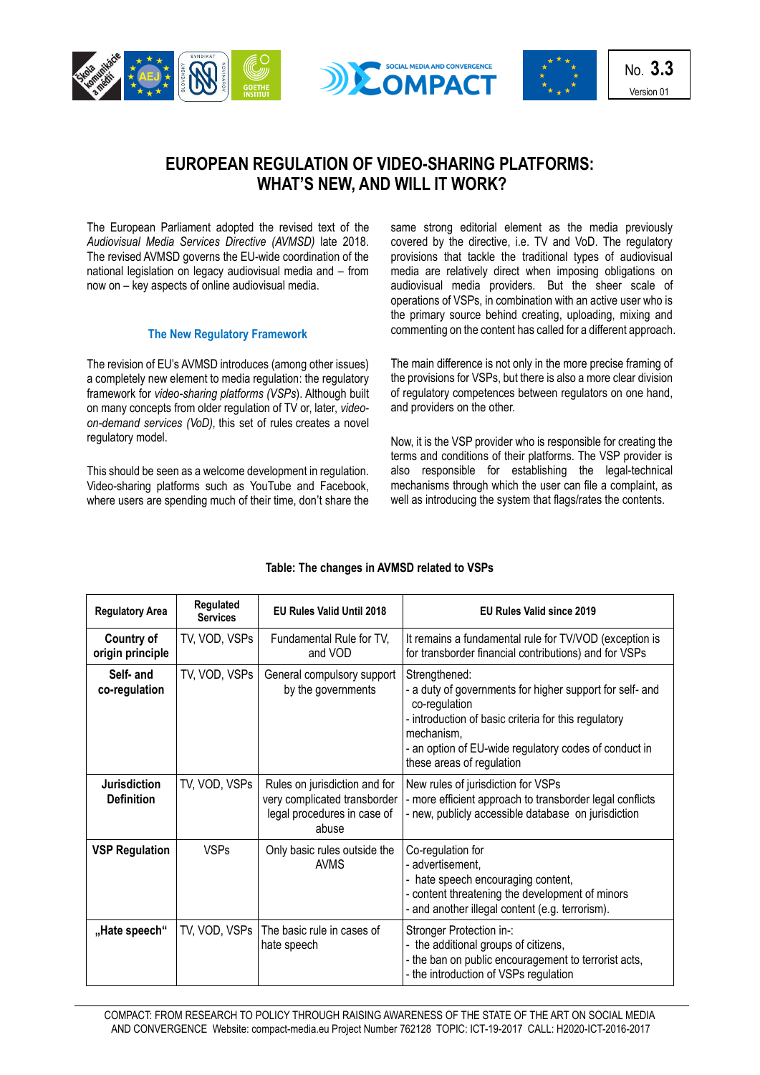





No. **3.3** Version 01

## **EUROPEAN REGULATION OF VIDEO-SHARING PLATFORMS: WHAT'S NEW, AND WILL IT WORK?**

The European Parliament adopted the revised text of the *Audiovisual [Media Services Directive \(AVMSD\)](https://ec.europa.eu/digital-single-market/en/audiovisual-media-services-directive-avmsd)* late 2018. [The revised AVMSD g](https://ec.europa.eu/digital-single-market/en/audiovisual-media-services-directive-avmsd)overns the EU-wide coordination of the national legislation on legacy audiovisual media and – from now on – key aspects of online audiovisual media.

## **The New Regulatory Framework**

The revision of EU's AVMSD introduces (among other issues) a completely new element to media regulation: the [regulatory](http://blogs.lse.ac.uk/mediapolicyproject/2018/10/09/the-playing-field-between-youtube-and-television-will-be-a-bit-fairer-but-still-far-from-level/)  framework for *[video-sharing platforms](http://blogs.lse.ac.uk/mediapolicyproject/2018/10/09/the-playing-field-between-youtube-and-television-will-be-a-bit-fairer-but-still-far-from-level/) (VSPs*). Although built on many concepts from older regulation of TV or, later, *videoon-demand services (VoD),* this set of rules creates a novel regulatory model.

This should be seen as a welcome development in regulation. Video-sharing platforms such as YouTube and Facebook, where users are spending much of their time, don't share the same strong editorial element as the media previously covered by the directive, i.e. TV and VoD. The regulatory provisions that tackle the traditional types of audiovisual media are relatively direct when imposing obligations on audiovisual media providers. But the sheer scale of operations of VSPs, in combination with an active user who is the primary source behind creating, uploading, mixing and commenting on the content has called for a different approach.

The main difference is not only in the more precise framing of the provisions for VSPs, but there is also a more clear division of regulatory competences between regulators on one hand, and providers on the other.

Now, it is the VSP provider who is responsible for creating the terms and conditions of their platforms. The VSP provider is also responsible for establishing the legal-technical mechanisms through which the user can file a complaint, as well as introducing the system that flags/rates the contents.

| <b>Regulatory Area</b>                   | Regulated<br><b>Services</b> | <b>EU Rules Valid Until 2018</b>                                                                      | <b>EU Rules Valid since 2019</b>                                                                                                                                                                                                                       |
|------------------------------------------|------------------------------|-------------------------------------------------------------------------------------------------------|--------------------------------------------------------------------------------------------------------------------------------------------------------------------------------------------------------------------------------------------------------|
| <b>Country of</b><br>origin principle    | TV, VOD, VSPs                | Fundamental Rule for TV,<br>and VOD                                                                   | It remains a fundamental rule for TV/VOD (exception is<br>for transborder financial contributions) and for VSPs                                                                                                                                        |
| Self- and<br>co-regulation               | TV, VOD, VSPs                | General compulsory support<br>by the governments                                                      | Strengthened:<br>- a duty of governments for higher support for self- and<br>co-regulation<br>- introduction of basic criteria for this regulatory<br>mechanism,<br>- an option of EU-wide regulatory codes of conduct in<br>these areas of regulation |
| <b>Jurisdiction</b><br><b>Definition</b> | TV, VOD, VSPs                | Rules on jurisdiction and for<br>very complicated transborder<br>legal procedures in case of<br>abuse | New rules of jurisdiction for VSPs<br>- more efficient approach to transborder legal conflicts<br>- new, publicly accessible database on jurisdiction                                                                                                  |
| <b>VSP Regulation</b>                    | <b>VSPs</b>                  | Only basic rules outside the<br><b>AVMS</b>                                                           | Co-regulation for<br>- advertisement,<br>hate speech encouraging content,<br>- content threatening the development of minors<br>- and another illegal content (e.g. terrorism).                                                                        |
| "Hate speech"                            | TV, VOD, VSPs                | The basic rule in cases of<br>hate speech                                                             | Stronger Protection in-:<br>- the additional groups of citizens,<br>- the ban on public encouragement to terrorist acts,<br>- the introduction of VSPs regulation                                                                                      |

## **Table: The changes in AVMSD related to VSPs**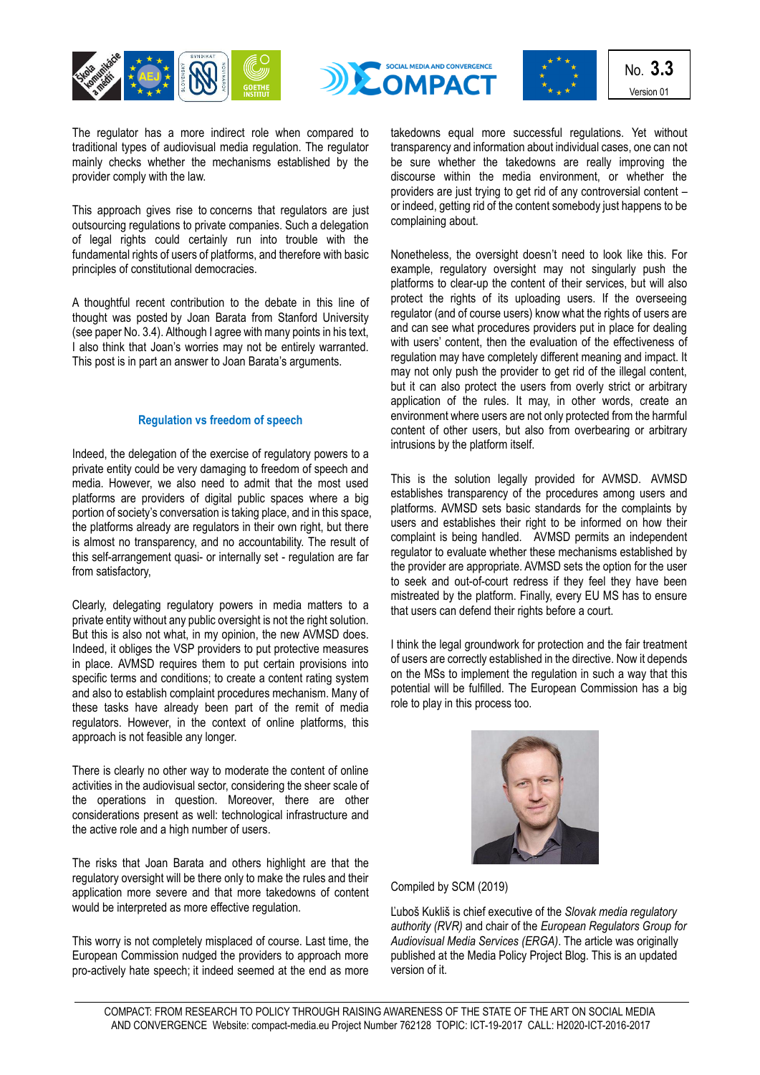





No. **3.3** Version 01

The regulator has a more indirect role when compared to traditional types of audiovisual media regulation. The regulator mainly checks whether the mechanisms established by the provider comply with the law.

This approach gives rise to concerns that regulators are just outsourcing regulations to private companies. Such a delegation of legal rights could certainly run into trouble with the fundamental rights of users of platforms, and therefore with basic principles of constitutional democracies.

A thoughtful recent contribution to the debate in this line of thought was posted by Joan Barata from Stanford University (see paper No. 3.4). Although I agree with many points in his text, I also think that Joan's worries may not be entirely warranted. This post is in part an answer to Joan Barata's arguments.

## **Regulation vs freedom of speech**

Indeed, the delegation of the exercise of regulatory powers to a private entity could be very damaging to freedom of speech and media. However, we also need to admit that the most used platforms are providers of digital public spaces where a big portion of society's conversation is taking place, and in this space, the platforms already are regulators in their own right, but there is almost no transparency, and no accountability. The result of this self-arrangement quasi- or internally set - regulation are far from satisfactory,

Clearly, delegating regulatory powers in media matters to a private entity without any public oversight is not the right solution. But this is also not what, in my opinion, the new AVMSD does. Indeed, it obliges the VSP providers to put protective measures in place. AVMSD requires them to put certain provisions into specific terms and conditions; to create a content rating system and also to establish complaint procedures mechanism. Many of these tasks have already been part of the remit of media regulators. However, in the context of online platforms, this approach is not feasible any longer.

There is clearly no other way to moderate the content of online activities in the audiovisual sector, considering the sheer scale of the operations in question. Moreover, there are other considerations present as well: technological infrastructure and the active role and a high number of users.

The risks that Joan Barata and others highlight are that the regulatory oversight will be there only to make the rules and their application more severe and that more takedowns of content would be interpreted as more effective regulation.

This worry is not completely misplaced of course. Last time, the European Commission nudged the providers to approach more pro-actively hate speech; [it indeed seemed at the end as more](https://ec.europa.eu/newsroom/just/item-detail.cfm?item_id=71674)  [takedowns equal](https://ec.europa.eu/newsroom/just/item-detail.cfm?item_id=71674) more successful regulations. Yet without transparency and information about individual cases, one can not be sure whether the takedowns are really improving the discourse within the media environment, or whether the providers are just trying to get rid of any controversial content – or indeed, getting rid of the content somebody just happens to be complaining about.

Nonetheless, the oversight doesn't need to look like this. For example, regulatory oversight may not singularly push the platforms to clear-up the content of their services, but will also protect the rights of its uploading users. If the overseeing regulator (and of course users) know what the rights of users are and can see what procedures providers put in place for dealing with users' content, then the evaluation of the effectiveness of regulation may have completely different meaning and impact. It may not only push the provider to get rid of the illegal content, but it can also protect the users from overly strict or arbitrary application of the rules. It may, in other words, create an environment where users are not only protected from the harmful content of other users, but also from overbearing or arbitrary intrusions by the platform itself.

This is the solution legally provided for AVMSD. AVMSD establishes transparency of the procedures among users and platforms. AVMSD sets basic standards for the complaints by users and establishes their right to be informed on how their complaint is being handled. AVMSD permits an independent regulator to evaluate whether these mechanisms established by the provider are appropriate. AVMSD sets the option for the user to seek and out-of-court redress if they feel they have been mistreated by the platform. Finally, every EU MS has to ensure that users can defend their rights before a court.

I think the legal groundwork for protection and the fair treatment of users are correctly established in the directive. Now it depends on the MSs to implement the regulation in such a way that this potential will be fulfilled. The European Commission has a big role to play in this process too.



Compiled by SCM (2019)

Ľuboš [Kukli](https://twitter.com/LubosKuklis)š is chief executive of the *Slovak media regulatory authority (RVR)* and chair of the *[European Regulators Group for](http://erga-online.eu/)  [Audiovisual Media Services](http://erga-online.eu/) (ERGA)*. The article was originally published at the Media Policy Project Blog. This is an updated version of it.